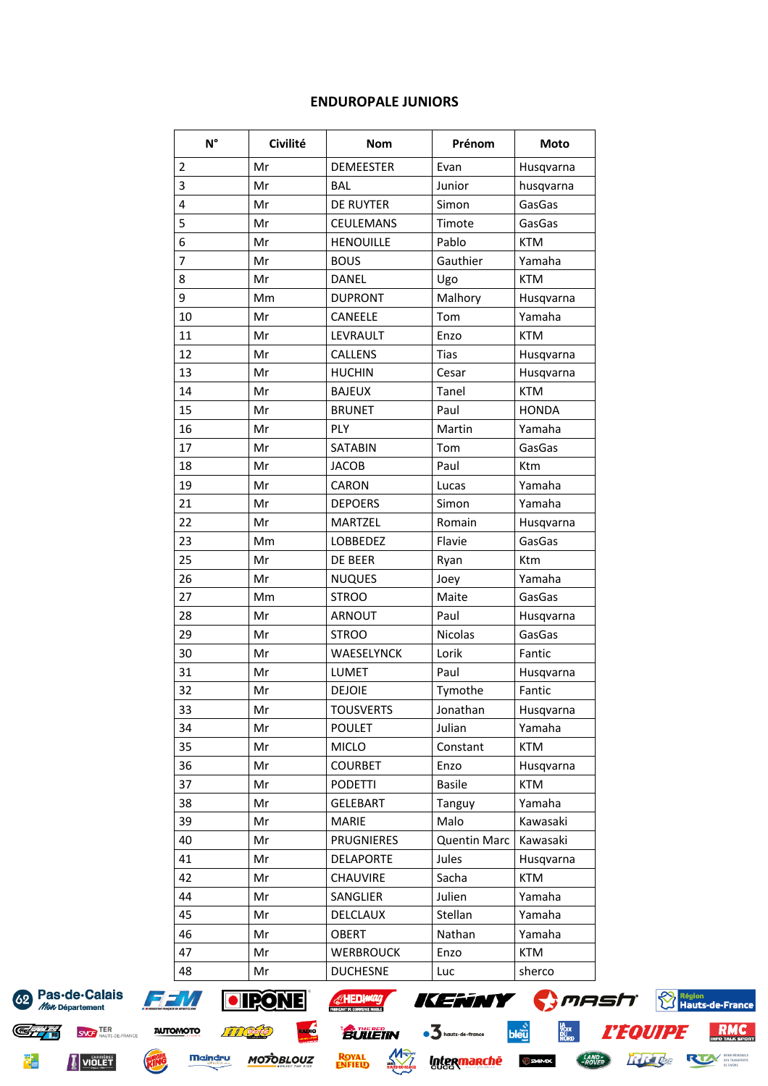## **ENDUROPALE JUNIORS**

| $N^{\circ}$    | Civilité | <b>Nom</b>        | Prénom              | Moto         |  |
|----------------|----------|-------------------|---------------------|--------------|--|
| $\overline{2}$ | Mr       | <b>DEMEESTER</b>  | Evan                | Husqvarna    |  |
| $\overline{3}$ | Mr       | <b>BAL</b>        | Junior              | husqvarna    |  |
| $\overline{4}$ | Mr       | DE RUYTER         | Simon               | GasGas       |  |
| 5              | Mr       | <b>CEULEMANS</b>  | Timote              | GasGas       |  |
| 6              | Mr       | <b>HENOUILLE</b>  | Pablo               | <b>KTM</b>   |  |
| 7              | Mr       | <b>BOUS</b>       | Gauthier            | Yamaha       |  |
| 8              | Mr       | <b>DANEL</b>      | Ugo                 | <b>KTM</b>   |  |
| 9              | Mm       | <b>DUPRONT</b>    | Malhory             | Husqvarna    |  |
| 10             | Mr       | CANEELE           | Tom                 | Yamaha       |  |
| 11             | Mr       | <b>LEVRAULT</b>   | Enzo                | <b>KTM</b>   |  |
| 12             | Mr       | CALLENS           | <b>Tias</b>         | Husqvarna    |  |
| 13             | Mr       | <b>HUCHIN</b>     | Cesar               | Husqvarna    |  |
| 14             | Mr       | <b>BAJEUX</b>     | Tanel               | <b>KTM</b>   |  |
| 15             | Mr       | <b>BRUNET</b>     | Paul                | <b>HONDA</b> |  |
| 16             | Mr       | PLY               | Martin              | Yamaha       |  |
| 17             | Mr       | SATABIN           | Tom                 | GasGas       |  |
| 18             | Mr       | <b>JACOB</b>      | Paul                | Ktm          |  |
| 19             | Mr       | CARON             | Lucas               | Yamaha       |  |
| 21             | Mr       | <b>DEPOERS</b>    | Simon               | Yamaha       |  |
| 22             | Mr       | <b>MARTZEL</b>    | Romain              | Husqvarna    |  |
| 23             | Mm       | LOBBEDEZ          | Flavie              | GasGas       |  |
| 25             | Mr       | DE BEER           | Ryan                | Ktm          |  |
| 26             | Mr       | <b>NUQUES</b>     | Joey                | Yamaha       |  |
| 27             | Mm       | <b>STROO</b>      | Maite               | GasGas       |  |
| 28             | Mr       | <b>ARNOUT</b>     | Paul                | Husqvarna    |  |
| 29             | Mr       | <b>STROO</b>      | Nicolas             | GasGas       |  |
| 30             | Mr       | WAESELYNCK        | Lorik               | Fantic       |  |
| 31             | Mr       | <b>LUMET</b>      | Paul                | Husqvarna    |  |
| 32             | Mr       | <b>DEJOIE</b>     | Tymothe             | Fantic       |  |
| 33             | Mr       | TOUSVERTS         | Jonathan            | Husqvarna    |  |
| 34             | Mr       | <b>POULET</b>     | Julian              | Yamaha       |  |
| 35             | Mr       | <b>MICLO</b>      | Constant            | <b>KTM</b>   |  |
| 36             | Mr       | <b>COURBET</b>    | Enzo                | Husqvarna    |  |
| 37             | Mr       | <b>PODETTI</b>    | <b>Basile</b>       | <b>KTM</b>   |  |
| 38             | Mr       | <b>GELEBART</b>   | Tanguy              | Yamaha       |  |
| 39             | Mr       | <b>MARIE</b>      | Malo                | Kawasaki     |  |
| 40             | Mr       | <b>PRUGNIERES</b> | <b>Quentin Marc</b> | Kawasaki     |  |
| 41             | Mr       | <b>DELAPORTE</b>  | Jules               | Husqvarna    |  |
| 42             | Mr       | CHAUVIRE          | Sacha               | <b>KTM</b>   |  |
| 44             | Mr       | SANGLIER          | Julien              | Yamaha       |  |
| 45             | Mr       | DELCLAUX          | Stellan             | Yamaha       |  |
| 46             | Mr       | <b>OBERT</b>      | Nathan              | Yamaha       |  |
| 47             | Mr       | <b>WERBROUCK</b>  | Enzo                | <b>KTM</b>   |  |
| 48             | Mr       | <b>DUCHESNE</b>   | Luc                 | sherco       |  |

62 Pas-de-Calais Mon Département

**SNOF TER**<br>HAUTS-DE-FRANCE



**Maindru** 

HING



**MOTOBLOUZ** 

**ROYAL**<br>ENFIELD



 $b$ leu



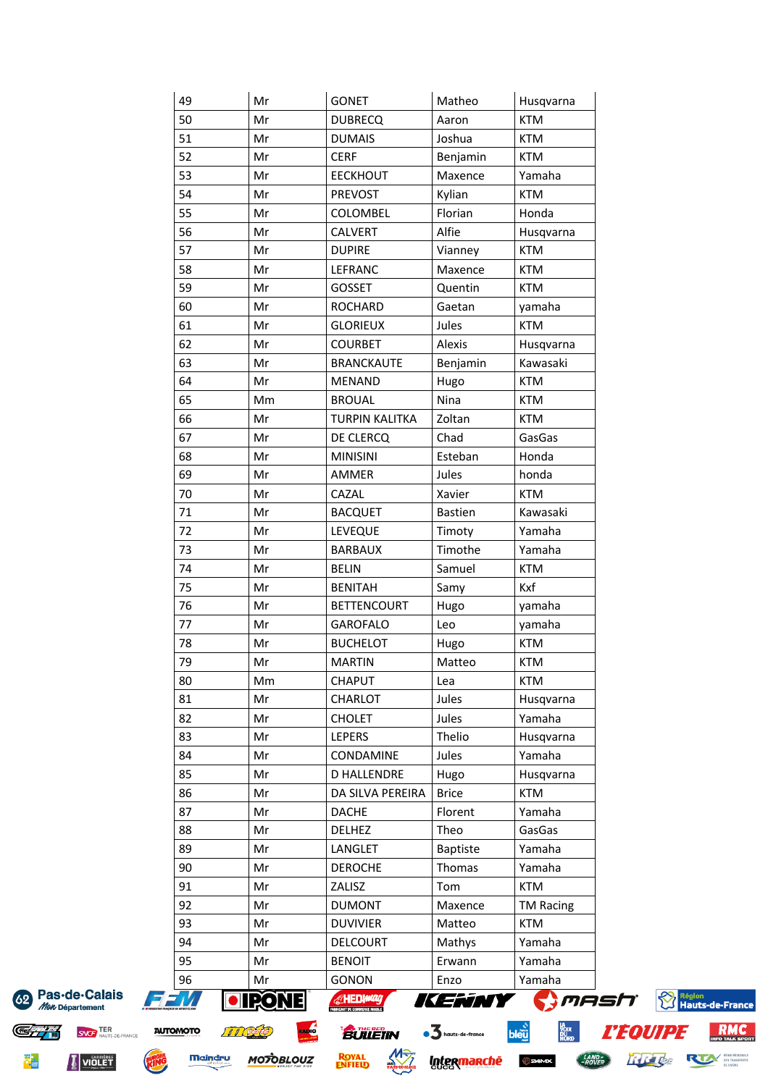| 49              | Mr        | <b>GONET</b>                                 | Matheo                      | Husqvarna                      |                           |
|-----------------|-----------|----------------------------------------------|-----------------------------|--------------------------------|---------------------------|
| 50              | Mr        | <b>DUBRECQ</b>                               | Aaron                       | <b>KTM</b>                     |                           |
| 51              | Mr        | <b>DUMAIS</b>                                | Joshua                      | <b>KTM</b>                     |                           |
| 52              | Mr        | <b>CERF</b>                                  | Benjamin                    | <b>KTM</b>                     |                           |
| 53              | Mr        | <b>EECKHOUT</b>                              | Maxence                     | Yamaha                         |                           |
| 54              | Mr        | PREVOST                                      | Kylian                      | <b>KTM</b>                     |                           |
| 55              | Mr        | COLOMBEL                                     | Florian                     | Honda                          |                           |
| 56              | Mr        | <b>CALVERT</b>                               | Alfie                       | Husqvarna                      |                           |
| 57              | Mr        | <b>DUPIRE</b>                                | Vianney                     | <b>KTM</b>                     |                           |
| 58              | Mr        | LEFRANC                                      | Maxence                     | <b>KTM</b>                     |                           |
| 59              | Mr        | GOSSET                                       | Quentin                     | <b>KTM</b>                     |                           |
| 60              | Mr        | <b>ROCHARD</b>                               | Gaetan                      | yamaha                         |                           |
| 61              | Mr        | <b>GLORIEUX</b>                              | Jules                       | <b>KTM</b>                     |                           |
| 62              | Mr        | <b>COURBET</b>                               | Alexis                      | Husqvarna                      |                           |
| 63              | Mr        | <b>BRANCKAUTE</b>                            | Benjamin                    | Kawasaki                       |                           |
| 64              | Mr        | <b>MENAND</b>                                | Hugo                        | <b>KTM</b>                     |                           |
| 65              | Mm        | <b>BROUAL</b>                                | Nina                        | <b>KTM</b>                     |                           |
| 66              | Mr        | <b>TURPIN KALITKA</b>                        | Zoltan                      | <b>KTM</b>                     |                           |
| 67              | Mr        | DE CLERCQ                                    | Chad                        | GasGas                         |                           |
| 68              | Mr        | <b>MINISINI</b>                              | Esteban                     | Honda                          |                           |
| 69              | Mr        | AMMER                                        | Jules                       | honda                          |                           |
| 70              | Mr        | CAZAL                                        | Xavier                      | <b>KTM</b>                     |                           |
| 71              | Mr        | <b>BACQUET</b>                               | Bastien                     | Kawasaki                       |                           |
| 72              | Mr        | LEVEQUE                                      | Timoty                      | Yamaha                         |                           |
| 73              | Mr        | <b>BARBAUX</b>                               | Timothe                     | Yamaha                         |                           |
| 74              | Mr        | <b>BELIN</b>                                 | Samuel                      | <b>KTM</b>                     |                           |
| 75              | Mr        | <b>BENITAH</b>                               | Samy                        | Kxf                            |                           |
| 76              | Mr        | <b>BETTENCOURT</b>                           |                             | yamaha                         |                           |
| 77              | Mr        | <b>GAROFALO</b>                              | Hugo                        | yamaha                         |                           |
| 78              |           |                                              | Leo                         | <b>KTM</b>                     |                           |
|                 | Mr        | <b>BUCHELOT</b>                              | Hugo                        |                                |                           |
| 79              | Mr        | <b>MARTIN</b>                                | Matteo                      | KTM                            |                           |
| 80              | Mm        | <b>CHAPUT</b>                                | Lea                         | <b>KTM</b>                     |                           |
| 81              | Mr        | CHARLOT                                      | Jules                       | Husqvarna                      |                           |
| 82              | Mr        | <b>CHOLET</b>                                | Jules                       | Yamaha                         |                           |
| 83              | Mr        | <b>LEPERS</b>                                | Thelio                      | Husqvarna                      |                           |
| 84              | Mr        | CONDAMINE                                    | Jules                       | Yamaha                         |                           |
| 85              | Mr        | <b>D HALLENDRE</b>                           | Hugo                        | Husqvarna                      |                           |
| 86              | Mr        | DA SILVA PEREIRA                             | <b>Brice</b>                | <b>KTM</b>                     |                           |
| 87              | Mr        | <b>DACHE</b>                                 | Florent                     | Yamaha                         |                           |
| 88              | Mr        | <b>DELHEZ</b>                                | Theo                        | GasGas                         |                           |
| 89              | Mr        | LANGLET                                      | Baptiste                    | Yamaha                         |                           |
| 90              | Mr        | <b>DEROCHE</b>                               | Thomas                      | Yamaha                         |                           |
| 91              | Mr        | ZALISZ                                       | Tom                         | <b>KTM</b>                     |                           |
| 92              | Mr        | <b>DUMONT</b>                                | Maxence                     | <b>TM Racing</b>               |                           |
| 93              | Mr        | <b>DUVIVIER</b>                              | Matteo                      | <b>KTM</b>                     |                           |
| 94              | Mr        | <b>DELCOURT</b>                              | Mathys                      | Yamaha                         |                           |
| 95              | Mr        | <b>BENOIT</b>                                | Erwann                      | Yamaha                         |                           |
| 96              | Mr        | <b>GONON</b>                                 | Enzo                        | Yamaha                         |                           |
|                 | $\bullet$ | <b>AHEDWAG</b><br>FRANCANT DECOMMERCE MOBILE | KENNY                       | <b>S</b> mash                  | Région<br>Hauts-de-France |
|                 |           | <b><i>BULLETIN</i></b>                       | $\bullet$ 3 hauts-de-france | <i><b>L'EQUIPE</b></i><br>bleü |                           |
| <b>AUTOMOTO</b> |           | LADIO                                        |                             |                                |                           |



豊

VIOLET